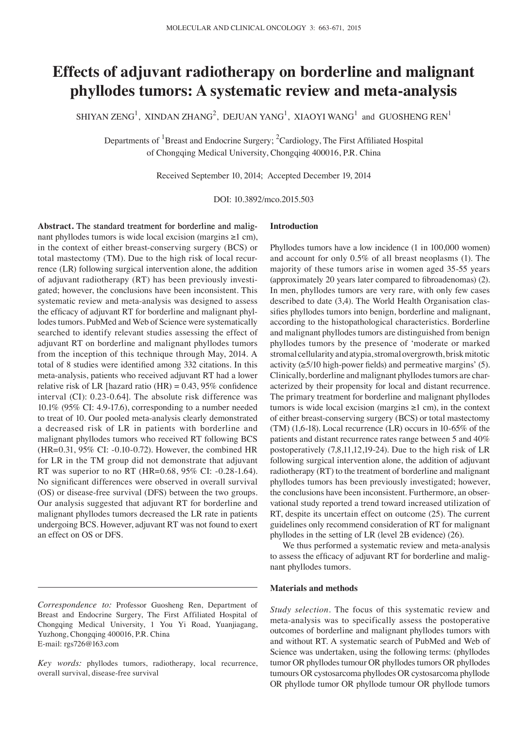# **Effects of adjuvant radiotherapy on borderline and malignant phyllodes tumors: A systematic review and meta‑analysis**

SHIYAN ZENG<sup>1</sup>, XINDAN ZHANG<sup>2</sup>, DEJUAN YANG<sup>1</sup>, XIAOYI WANG<sup>1</sup> and GUOSHENG REN<sup>1</sup>

Departments of <sup>1</sup>Breast and Endocrine Surgery; <sup>2</sup>Cardiology, The First Affiliated Hospital of Chongqing Medical University, Chongqing 400016, P.R. China

Received September 10, 2014; Accepted December 19, 2014

DOI: 10.3892/mco.2015.503

Abstract. The standard treatment for borderline and malignant phyllodes tumors is wide local excision (margins ≥1 cm), in the context of either breast-conserving surgery (BCS) or total mastectomy (TM). Due to the high risk of local recur rence (LR) following surgical intervention alone, the addition of adjuvant radiotherapy (RT) has been previously investi gated; however, the conclusions have been inconsistent. This systematic review and meta-analysis was designed to assess the efficacy of adjuvant RT for borderline and malignant phyl lodes tumors. PubMed and Web of Science were systematically searched to identify relevant studies assessing the effect of adjuvant RT on borderline and malignant phyllodes tumors from the inception of this technique through May, 2014. A total of 8 studies were identified among 332 citations. In this meta‑analysis, patients who received adjuvant RT had a lower relative risk of LR [hazard ratio  $(HR) = 0.43, 95\%$  confidence interval (CI): 0.23-0.64]. The absolute risk difference was 10.1% (95% CI: 4.9‑17.6), corresponding to a number needed to treat of 10. Our pooled meta‑analysis clearly demonstrated a decreased risk of LR in patients with borderline and malignant phyllodes tumors who received RT following BCS (HR=0.31, 95% CI: -0.10‑0.72). However, the combined HR for LR in the TM group did not demonstrate that adjuvant RT was superior to no RT (HR=0.68, 95% CI: -0.28‑1.64). No significant differences were observed in overall survival (OS) or disease-free survival (DFS) between the two groups. Our analysis suggested that adjuvant RT for borderline and malignant phyllodes tumors decreased the LR rate in patients undergoing BCS. However, adjuvant RT was not found to exert an effect on OS or DFS.

## **Introduction**

Phyllodes tumors have a low incidence (1 in 100,000 women) and account for only 0.5% of all breast neoplasms (1). The majority of these tumors arise in women aged 35-55 years (approximately 20 years later compared to fibroadenomas) (2). In men, phyllodes tumors are very rare, with only few cases described to date (3,4). The World Health Organisation classifies phyllodes tumors into benign, borderline and malignant, according to the histopathological characteristics. Borderline and malignant phyllodes tumors are distinguished from benign phyllodes tumors by the presence of 'moderate or marked stromal cellularity and atypia, stromal overgrowth, brisk mitotic activity  $(\geq 5/10$  high-power fields) and permeative margins' (5). Clinically, borderline and malignant phyllodes tumors are characterized by their propensity for local and distant recurrence. The primary treatment for borderline and malignant phyllodes tumors is wide local excision (margins  $\geq 1$  cm), in the context of either breast-conserving surgery (BCS) or total mastectomy (TM)  $(1,6-18)$ . Local recurrence (LR) occurs in 10-65% of the patients and distant recurrence rates range between 5 and 40% postoperatively (7,8,11,12,19‑24). Due to the high risk of LR following surgical intervention alone, the addition of adjuvant radiotherapy (RT) to the treatment of borderline and malignant phyllodes tumors has been previously investigated; however, the conclusions have been inconsistent. Furthermore, an observational study reported a trend toward increased utilization of RT, despite its uncertain effect on outcome (25). The current guidelines only recommend consideration of RT for malignant phyllodes in the setting of LR (level 2B evidence) (26).

We thus performed a systematic review and meta-analysis to assess the efficacy of adjuvant RT for borderline and malig nant phyllodes tumors.

#### **Materials and methods**

*Study selection.* The focus of this systematic review and meta‑analysis was to specifically assess the postoperative outcomes of borderline and malignant phyllodes tumors with and without RT. A systematic search of PubMed and Web of Science was undertaken, using the following terms: (phyllodes tumor OR phyllodes tumour OR phyllodes tumors OR phyllodes tumours OR cystosarcoma phyllodes OR cystosarcoma phyllode OR phyllode tumor OR phyllode tumour OR phyllode tumors

*Correspondence to:* Professor Guosheng Ren, Department of Breast and Endocrine Surgery, The First Affiliated Hospital of Chongqing Medical University, 1 You Yi Road, Yuanjiagang, Yuzhong, Chongqing 400016, P.R. China E‑mail: rgs726@163.com

*Key words:* phyllodes tumors, radiotherapy, local recurrence, overall survival, disease‑free survival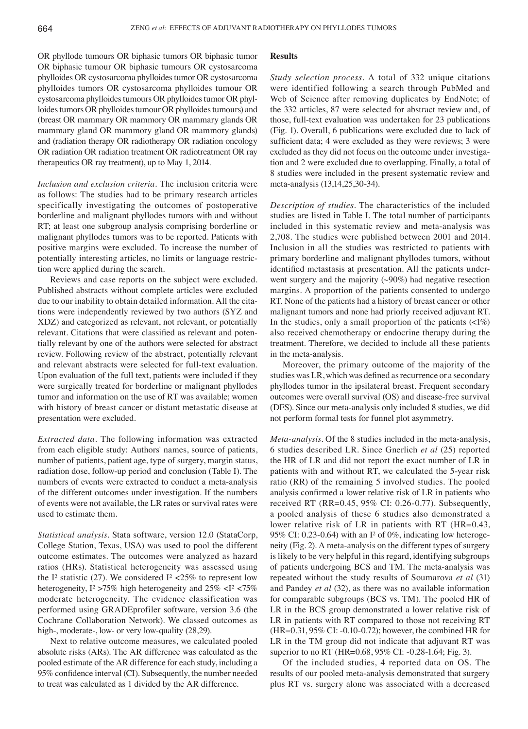OR phyllode tumours OR biphasic tumors OR biphasic tumor OR biphasic tumour OR biphasic tumours OR cystosarcoma phylloides OR cystosarcoma phylloides tumor OR cystosarcoma phylloides tumors OR cystosarcoma phylloides tumour OR cystosarcoma phylloides tumours OR phylloides tumor OR phylloides tumors OR phylloides tumour OR phylloides tumours) and (breast OR mammary OR mammory OR mammary glands OR mammary gland OR mammory gland OR mammory glands) and (radiation therapy OR radiotherapy OR radiation oncology OR radiation OR radiation treatment OR radiotreatment OR ray therapeutics OR ray treatment), up to May 1, 2014.

*Inclusion and exclusion criteria.* The inclusion criteria were as follows: The studies had to be primary research articles specifically investigating the outcomes of postoperative borderline and malignant phyllodes tumors with and without RT; at least one subgroup analysis comprising borderline or malignant phyllodes tumors was to be reported. Patients with positive margins were excluded. To increase the number of potentially interesting articles, no limits or language restric tion were applied during the search.

Reviews and case reports on the subject were excluded. Published abstracts without complete articles were excluded due to our inability to obtain detailed information. All the cita tions were independently reviewed by two authors (SYZ and XDZ) and categorized as relevant, not relevant, or potentially relevant. Citations that were classified as relevant and poten tially relevant by one of the authors were selected for abstract review. Following review of the abstract, potentially relevant and relevant abstracts were selected for full-text evaluation. Upon evaluation of the full text, patients were included if they were surgically treated for borderline or malignant phyllodes tumor and information on the use of RT was available; women with history of breast cancer or distant metastatic disease at presentation were excluded.

*Extracted data.* The following information was extracted from each eligible study: Authors' names, source of patients, number of patients, patient age, type of surgery, margin status, radiation dose, follow-up period and conclusion (Table Ⅰ). The numbers of events were extracted to conduct a meta‑analysis of the different outcomes under investigation. If the numbers of events were not available, the LR rates or survival rates were used to estimate them.

*Statistical analysis.* Stata software, version 12.0 (StataCorp, College Station, Texas, USA) was used to pool the different outcome estimates. The outcomes were analyzed as hazard ratios (HRs). Statistical heterogeneity was assessed using the I<sup>2</sup> statistic (27). We considered I<sup>2</sup> <25% to represent low heterogeneity,  $I^2 > 75\%$  high heterogeneity and  $25\% < I^2 < 75\%$ moderate heterogeneity. The evidence classification was performed using GRADEprofiler software, version 3.6 (the Cochrane Collaboration Network). We classed outcomes as high-, moderate-, low- or very low-quality  $(28,29)$ .

Next to relative outcome measures, we calculated pooled absolute risks (ARs). The AR difference was calculated as the pooled estimate of the AR difference for each study, including a 95% confidence interval (CI). Subsequently, the number needed to treat was calculated as 1 divided by the AR difference.

#### **Results**

*Study selection process.* A total of 332 unique citations were identified following a search through PubMed and Web of Science after removing duplicates by EndNote; of the 332 articles, 87 were selected for abstract review and, of those, full-text evaluation was undertaken for 23 publications (Fig. 1). Overall, 6 publications were excluded due to lack of sufficient data; 4 were excluded as they were reviews; 3 were excluded as they did not focus on the outcome under investiga tion and 2 were excluded due to overlapping. Finally, a total of 8 studies were included in the present systematic review and meta‑analysis (13,14,25,30‑34).

*Description of studies.* The characteristics of the included studies are listed in Table Ⅰ. The total number of participants included in this systematic review and meta-analysis was 2,708. The studies were published between 2001 and 2014. Inclusion in all the studies was restricted to patients with primary borderline and malignant phyllodes tumors, without identified metastasis at presentation. All the patients underwent surgery and the majority  $(\sim 90\%)$  had negative resection margins. A proportion of the patients consented to undergo RT. None of the patients had a history of breast cancer or other malignant tumors and none had priorly received adjuvant RT. In the studies, only a small proportion of the patients  $\left\langle \langle 1\% \rangle \right\rangle$ also received chemotherapy or endocrine therapy during the treatment. Therefore, we decided to include all these patients in the meta‑analysis.

Moreover, the primary outcome of the majority of the studies wasLR, which was defined as recurrence or a secondary phyllodes tumor in the ipsilateral breast. Frequent secondary outcomes were overall survival (OS) and disease‑free survival (DFS). Since our meta‑analysis only included 8 studies, we did not perform formal tests for funnel plot asymmetry.

*Meta-analysis.* Of the 8 studies included in the meta-analysis, 6 studies described LR. Since Gnerlich *et al* (25) reported the HR of LR and did not report the exact number of LR in patients with and without RT, we calculated the 5-year risk ratio (RR) of the remaining 5 involved studies. The pooled analysis confirmed a lower relative risk of LR in patients who received RT (RR=0.45,  $95\%$  CI: 0.26-0.77). Subsequently, a pooled analysis of these 6 studies also demonstrated a lower relative risk of LR in patients with RT (HR=0.43, 95% CI: 0.23‑0.64) with an I² of 0%, indicating low heteroge neity (Fig. 2). A meta-analysis on the different types of surgery is likely to be very helpful in this regard, identifying subgroups of patients undergoing BCS and TM. The meta‑analysis was repeated without the study results of Soumarova *et al* (31) and Pandey *et al* (32), as there was no available information for comparable subgroups (BCS vs. TM). The pooled HR of LR in the BCS group demonstrated a lower relative risk of LR in patients with RT compared to those not receiving RT (HR=0.31, 95% CI: -0.10‑0.72); however, the combined HR for LR in the TM group did not indicate that adjuvant RT was superior to no RT (HR=0.68, 95% CI: -0.28-1.64; Fig. 3).

Of the included studies, 4 reported data on OS. The results of our pooled meta‑analysis demonstrated that surgery plus RT vs. surgery alone was associated with a decreased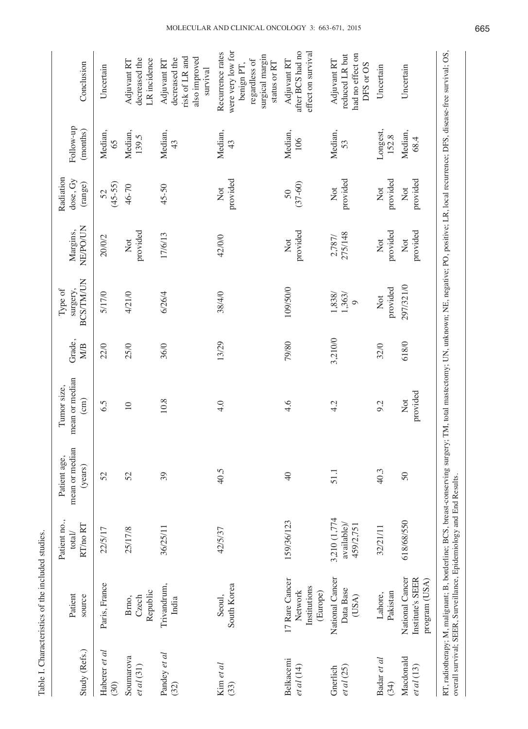| Study (Refs.)           | Patient<br>source                                                                                                                                                                                                                                                          | Patient no.,<br>RT/no RT<br>total/       | mean or median<br>Patient age,<br>(years) | mean or median<br>Tumor size,<br>$\text{cm}$ ) | Grade,<br><b>M/B</b> | <b>BCS/TM/UN</b><br>surgery,<br>Type of | <b>NE/PO/UN</b><br>Margins, | Radiation<br>dose, Gy<br>(range) | Follow-up<br>(months) | Conclusion                                                                                              |
|-------------------------|----------------------------------------------------------------------------------------------------------------------------------------------------------------------------------------------------------------------------------------------------------------------------|------------------------------------------|-------------------------------------------|------------------------------------------------|----------------------|-----------------------------------------|-----------------------------|----------------------------------|-----------------------|---------------------------------------------------------------------------------------------------------|
| Haberer et al<br>(30)   | Paris, France                                                                                                                                                                                                                                                              | 22/5/17                                  | 52                                        | 6.5                                            | 22/0                 | 5/17/0                                  | 20/0/2                      | $(45 - 55)$<br>52                | Median,<br>65         | Uncertain                                                                                               |
| Soumarova<br>et al (31) | Republic<br>Czech<br>Brno,                                                                                                                                                                                                                                                 | 25/17/8                                  | 52                                        | $\overline{10}$                                | 25/0                 | 4/21/0                                  | provided<br>Not             | 46-70                            | Median,<br>139.5      | LR incidence<br>decreased the<br>Adjuvant RT                                                            |
| Pandey et al<br>(32)    | Trivandrum,<br>India                                                                                                                                                                                                                                                       | 36/25/11                                 | 39                                        | 10.8                                           | 36/0                 | 6/26/4                                  | 17/6/13                     | $45 - 50$                        | Median,<br>43         | also improved<br>risk of LR and<br>decreased the<br>Adjuvant RT<br>survival                             |
| Kim et al<br>(33)       | South Korea<br>Seoul,                                                                                                                                                                                                                                                      | 42/5/37                                  | 40.5                                      | 4.0                                            | 13/29                | 38/4/0                                  | 42/0/0                      | provided<br>Not                  | Median,<br>43         | were very low for<br>Recurrence rates<br>surgical margin<br>regardless of<br>status or RT<br>benign PT, |
| Belkacemi<br>et al (14) | 17 Rare Cancer<br>Institutions<br>Network<br>(Europe)                                                                                                                                                                                                                      | 159/36/123                               | $\Theta$                                  | $\ddot{4}.\dot{6}$                             | 79/80                | 109/50/0                                | provided<br>Not             | $(37 - 60)$<br>50                | Median,<br>106        | after BCS had no<br>effect on survival<br>Adjuvant RT                                                   |
| et al (25)<br>Gnerlich  | National Cancer<br>Data Base<br>(USA)                                                                                                                                                                                                                                      | 3,210 (1,774<br>available)/<br>459/2,751 | 51.1                                      | 4.2                                            | 3,210/0              | 1,838/<br>1,363/<br>$\circ$             | 275/148<br>2,787/           | provided<br>Not                  | Median,<br>53         | had no effect on<br>reduced LR but<br>Adjuvant RT<br>DFS or OS                                          |
| Badar et al<br>(34)     | Pakistan<br>Lahore,                                                                                                                                                                                                                                                        | 32/21/11                                 | 40.3                                      | 9.2                                            | 32/0                 | provided<br>Not                         | provided<br>Not             | provided<br>Not                  | Longest,<br>152.8     | Uncertain                                                                                               |
| Macdonald<br>et al (13) | National Cancer<br>Institute's SEER<br>program (USA)                                                                                                                                                                                                                       | 618/68/550                               | $50\,$                                    | provided<br>Not                                | 618/0                | 297/321/0                               | provided<br>Not             | provided<br>Not                  | Median,<br>68.4       | Uncertain                                                                                               |
|                         | RT, radiotherapy; M, malignant; B, borderline; BCS, breast-conserving surgery; TM, total mastectomy; UN, unknown; NE, negative; PO, positive; LR, local recurrence; DFS, disease-free survival; OS,<br>overall survival; SEER, Surveillance, Epidemiology and End Results. |                                          |                                           |                                                |                      |                                         |                             |                                  |                       |                                                                                                         |

Table I. Characteristics of the included studies.

Table I. Characteristics of the included studies.

MOLECULAR AND CLINICAL ONCOLOGY 3: 663-671, 2015 665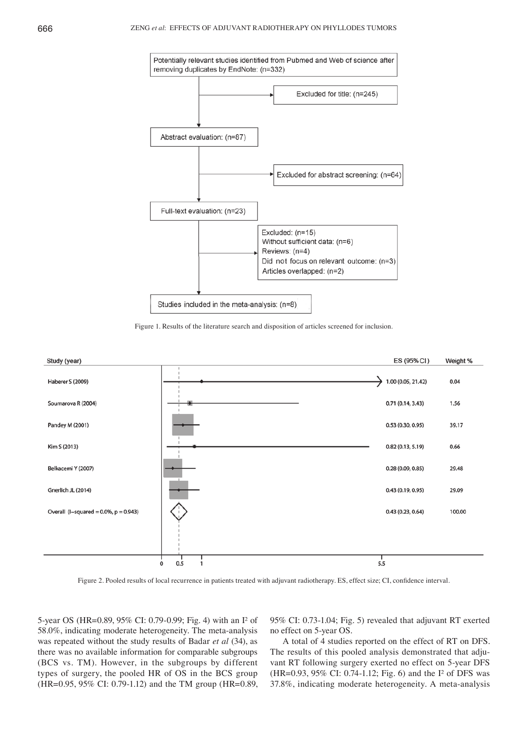

Figure 1. Results of the literature search and disposition of articles screened for inclusion.



Figure 2. Pooled results of local recurrence in patients treated with adjuvant radiotherapy. ES, effect size; CI, confidence interval.

5-year OS (HR=0.89, 95% CI: 0.79-0.99; Fig. 4) with an I² of 58.0%, indicating moderate heterogeneity. The meta‑analysis was repeated without the study results of Badar *et al* (34), as there was no available information for comparable subgroups (BCS vs. TM). However, in the subgroups by different types of surgery, the pooled HR of OS in the BCS group (HR=0.95, 95% CI: 0.79‑1.12) and the TM group (HR=0.89,

95% CI: 0.73-1.04; Fig. 5) revealed that adjuvant RT exerted no effect on 5-year OS.

A total of 4 studies reported on the effect of RT on DFS. The results of this pooled analysis demonstrated that adjuvant RT following surgery exerted no effect on 5-year DFS (HR=0.93, 95% CI: 0.74-1.12; Fig. 6) and the I² of DFS was 37.8%, indicating moderate heterogeneity. A meta‑analysis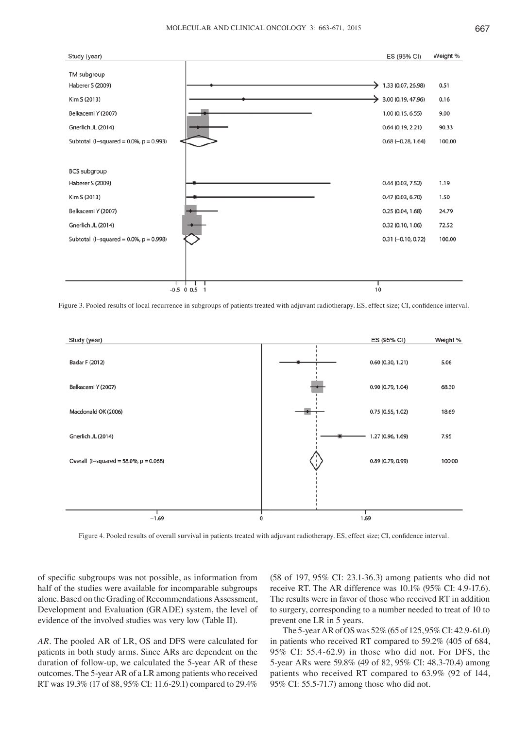

Figure 3. Pooled results of local recurrence in subgroups of patients treated with adjuvant radiotherapy. ES, effect size; CI, confidence interval.



Figure 4. Pooled results of overall survival in patients treated with adjuvant radiotherapy. ES, effect size; CI, confidence interval.

of specific subgroups was not possible, as information from half of the studies were available for incomparable subgroups alone. Based on the Grading of Recommendations Assessment, Development and Evaluation (GRADE) system, the level of evidence of the involved studies was very low (Table Ⅱ).

*AR.* The pooled AR of LR, OS and DFS were calculated for patients in both study arms. Since ARs are dependent on the duration of follow-up, we calculated the 5-year AR of these outcomes. The 5-year AR of a LR among patients who received RT was 19.3% (17 of 88, 95% CI: 11.6‑29.1) compared to 29.4%

(58 of 197, 95% CI: 23.1‑36.3) among patients who did not receive RT. The AR difference was 10.1% (95% CI: 4.9‑17.6). The results were in favor of those who received RT in addition to surgery, corresponding to a number needed to treat of 10 to prevent one LR in 5 years.

The 5-yearARof OS was 52% (65 of 125, 95%CI: 42.9‑61.0) in patients who received RT compared to 59.2% (405 of 684, 95% CI: 55.4‑62.9) in those who did not. For DFS, the 5-year ARs were 59.8% (49 of 82, 95% CI: 48.3‑70.4) among patients who received RT compared to 63.9% (92 of 144, 95% CI: 55.5‑71.7) among those who did not.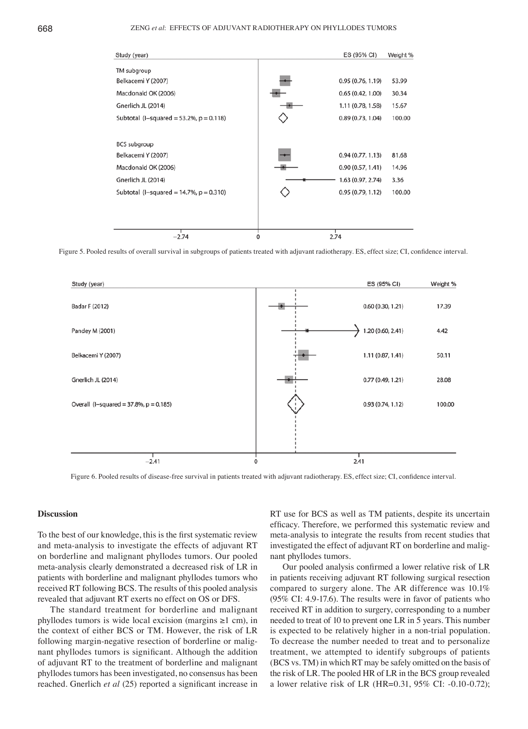

Figure 5. Pooled results of overall survival in subgroups of patients treated with adjuvant radiotherapy. ES, effect size; CI, confidence interval.

![](_page_5_Figure_3.jpeg)

Figure 6. Pooled results of disease-free survival in patients treated with adjuvant radiotherapy. ES, effect size; CI, confidence interval.

### **Discussion**

To the best of our knowledge, this is the first systematic review and meta‑analysis to investigate the effects of adjuvant RT on borderline and malignant phyllodes tumors. Our pooled meta‑analysis clearly demonstrated a decreased risk of LR in patients with borderline and malignant phyllodes tumors who received RT following BCS. The results of this pooled analysis revealed that adjuvant RT exerts no effect on OS or DFS.

The standard treatment for borderline and malignant phyllodes tumors is wide local excision (margins ≥1 cm), in the context of either BCS or TM. However, the risk of LR following margin-negative resection of borderline or malig nant phyllodes tumors is significant. Although the addition of adjuvant RT to the treatment of borderline and malignant phyllodes tumors has been investigated, no consensus has been reached. Gnerlich *et al* (25) reported a significant increase in RT use for BCS as well as TM patients, despite its uncertain efficacy. Therefore, we performed this systematic review and meta‑analysis to integrate the results from recent studies that investigated the effect of adjuvant RT on borderline and malig nant phyllodes tumors.

Our pooled analysis confirmed a lower relative risk of LR in patients receiving adjuvant RT following surgical resection compared to surgery alone. The AR difference was 10.1% (95% CI: 4.9‑17.6). The results were in favor of patients who received RT in addition to surgery, corresponding to a number needed to treat of 10 to prevent one LR in 5 years. This number is expected to be relatively higher in a non-trial population. To decrease the number needed to treat and to personalize treatment, we attempted to identify subgroups of patients (BCS vs. TM) in which RT may be safely omitted on the basis of the risk of LR. The pooled HR of LR in the BCS group revealed a lower relative risk of LR (HR=0.31, 95% CI: -0.10‑0.72);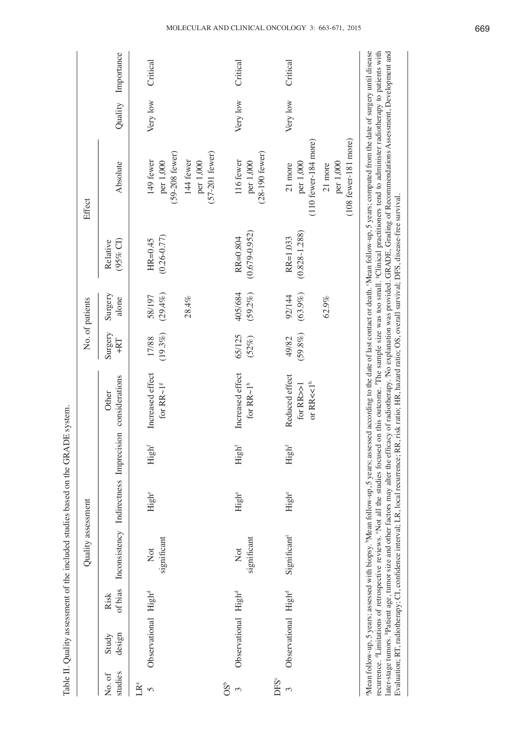|                         |                                 |                   | Quality assessment |       |                              |                                                                |                     | No. of patients      |                                                                                                                                                                 | Effect                                                                                                                                                                                                                                                                                                                                                                                                                                                                                                                                                                                                                                   |          |            |
|-------------------------|---------------------------------|-------------------|--------------------|-------|------------------------------|----------------------------------------------------------------|---------------------|----------------------|-----------------------------------------------------------------------------------------------------------------------------------------------------------------|------------------------------------------------------------------------------------------------------------------------------------------------------------------------------------------------------------------------------------------------------------------------------------------------------------------------------------------------------------------------------------------------------------------------------------------------------------------------------------------------------------------------------------------------------------------------------------------------------------------------------------------|----------|------------|
| studies<br>No. of       | design<br>Study                 | of bias<br>Risk   |                    |       |                              | Inconsistency Indirectness Imprecision considerations<br>Other | Surgery<br>+RT      | Surgery<br>alone     | $(95\% \text{ Cl})$<br>Relative                                                                                                                                 | Absolute                                                                                                                                                                                                                                                                                                                                                                                                                                                                                                                                                                                                                                 | Quality  | Importance |
| LR <sup>a</sup><br>5    | Observational High <sup>d</sup> |                   | significant<br>Not | Highe | High <sup>f</sup>            | Increased effect<br>for RR~1 <sup>g</sup>                      | $(19.3\%)$<br>17/88 | $(29.4\%)$<br>58/197 | $(0.26 - 0.77)$<br>$HR = 0.45$                                                                                                                                  | $(59-208$ fewer)<br>149 fewer<br>per 1,000                                                                                                                                                                                                                                                                                                                                                                                                                                                                                                                                                                                               | Very low | Critical   |
|                         |                                 |                   |                    |       |                              |                                                                |                     | 28.4%                |                                                                                                                                                                 | $(57-201$ fewer)<br>144 fewer<br>per 1,000                                                                                                                                                                                                                                                                                                                                                                                                                                                                                                                                                                                               |          |            |
| OS <sup>b</sup><br>3    | Observational High <sup>d</sup> |                   | Not                | Highe | $\mathrm{High}^{\mathrm{f}}$ | Increased effect                                               | 65/125              | 405/684              | RR=0.804                                                                                                                                                        | 116 fewer                                                                                                                                                                                                                                                                                                                                                                                                                                                                                                                                                                                                                                | Very low | Critical   |
|                         |                                 |                   | significant        |       |                              | for $RR\sim1^h$                                                | $(52\%)$            | $(59.2\%)$           | $(0.679 - 0.952)$                                                                                                                                               | $(28-190)$ fewer)<br>per 1,000                                                                                                                                                                                                                                                                                                                                                                                                                                                                                                                                                                                                           |          |            |
| <b>DFS</b> <sup>c</sup> |                                 |                   |                    |       |                              |                                                                |                     |                      |                                                                                                                                                                 |                                                                                                                                                                                                                                                                                                                                                                                                                                                                                                                                                                                                                                          |          |            |
| $\infty$                | Observational                   | High <sup>d</sup> | Significant        | Highe | High                         | Reduced effect<br>or $RR << 1h$<br>for $RR>>1$                 | $(59.8\%)$<br>49/82 | $(63.9\%)$<br>92/144 | $(0.828 - 1.288)$<br>RR=1.033                                                                                                                                   | $(110$ fewer-184 more)<br>per 1,000<br>21 more                                                                                                                                                                                                                                                                                                                                                                                                                                                                                                                                                                                           | Very low | Critical   |
|                         |                                 |                   |                    |       |                              |                                                                |                     | 62.9%                |                                                                                                                                                                 | $(108$ fewer-181 more)<br>per 1,000<br>$21$ more                                                                                                                                                                                                                                                                                                                                                                                                                                                                                                                                                                                         |          |            |
|                         |                                 |                   |                    |       |                              |                                                                |                     |                      | Evaluation; RT, radiotherapy; CI, confidence interval; LR, local recurrence; RR, risk ratio; HR, hazard ratio; OS, overall survival; DFS, disease-free survival | "Mean follow-up, 5 years; assessed with biopsy. "Mean follow-up, 5 years; assessed according to the date of last contact or death. "Mean follow-up, 5 years; computed from the date of surgery until disease<br>recurrence. Limitations of retrospective reviews. Not all the studies focused on this outcome. The sample size was too small. <sup>8</sup> Clinical practitioners tend to administer radiotherapy to patients with<br>later-stage tumors. "Patient age, tumor size and other factors may alter the efficacy of radiotherapy. 'No explanation was provided. GRADE, Grading of Recommendations Assessment, Development and |          |            |

Table II. Quality assessment of the included studies based on the GRADE system. Table Ⅱ. Quality assessment of the included studies based on the GRADE system.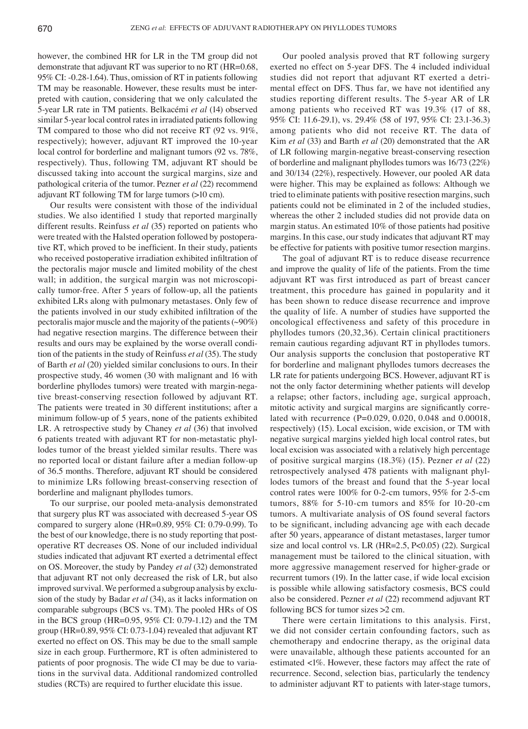however, the combined HR for LR in the TM group did not demonstrate that adjuvant RT was superior to no RT (HR=0.68, 95% CI: -0.28‑1.64). Thus, omission of RT in patients following TM may be reasonable. However, these results must be interpreted with caution, considering that we only calculated the 5-year LR rate in TM patients. Belkacémi *et al* (14) observed similar 5-year local control rates in irradiated patients following TM compared to those who did not receive RT (92 vs. 91%, respectively); however, adjuvant RT improved the 10‑year local control for borderline and malignant tumors (92 vs. 78%, respectively). Thus, following TM, adjuvant RT should be discussed taking into account the surgical margins, size and pathological criteria of the tumor. Pezner *et al* (22) recommend adjuvant RT following TM for large tumors (>10 cm).

Our results were consistent with those of the individual studies. We also identified 1 study that reported marginally different results. Reinfuss *et al* (35) reported on patients who were treated with the Halsted operation followed by postopera tive RT, which proved to be inefficient. In their study, patients who received postoperative irradiation exhibited infiltration of the pectoralis major muscle and limited mobility of the chest wall; in addition, the surgical margin was not microscopically tumor-free. After 5 years of follow-up, all the patients exhibited LRs along with pulmonary metastases. Only few of the patients involved in our study exhibited infiltration of the pectoralis major muscle and the majority of the patients  $(\sim 90\%)$ had negative resection margins. The difference between their results and ours may be explained by the worse overall condi tion of the patients in the study of Reinfuss *et al* (35). The study of Barth *et al* (20) yielded similar conclusions to ours. In their prospective study, 46 women (30 with malignant and 16 with borderline phyllodes tumors) were treated with margin-nega tive breast-conserving resection followed by adjuvant RT. The patients were treated in 30 different institutions; after a minimum follow-up of 5 years, none of the patients exhibited LR. A retrospective study by Chaney *et al* (36) that involved 6 patients treated with adjuvant RT for non‑metastatic phyl lodes tumor of the breast yielded similar results. There was no reported local or distant failure after a median follow-up of 36.5 months. Therefore, adjuvant RT should be considered to minimize LRs following breast-conserving resection of borderline and malignant phyllodes tumors.

To our surprise, our pooled meta‑analysis demonstrated that surgery plus RT was associated with decreased 5-year OS compared to surgery alone (HR=0.89, 95% CI: 0.79‑0.99). To the best of our knowledge, there is no study reporting that post operative RT decreases OS. None of our included individual studies indicated that adjuvant RT exerted a detrimental effect on OS. Moreover, the study by Pandey *et al* (32) demonstrated that adjuvant RT not only decreased the risk of LR, but also improved survival. We performed a subgroup analysis by exclu sion of the study by Badar *et al* (34), as it lacks information on comparable subgroups (BCS vs. TM). The pooled HRs of OS in the BCS group (HR=0.95, 95% CI: 0.79‑1.12) and the TM group (HR=0.89, 95% CI: 0.73‑1.04) revealed that adjuvant RT exerted no effect on OS. This may be due to the small sample size in each group. Furthermore, RT is often administered to patients of poor prognosis. The wide CI may be due to varia tions in the survival data. Additional randomized controlled studies (RCTs) are required to further elucidate this issue.

Our pooled analysis proved that RT following surgery exerted no effect on 5-year DFS. The 4 included individual studies did not report that adjuvant RT exerted a detri mental effect on DFS. Thus far, we have not identified any studies reporting different results. The 5-year AR of LR among patients who received RT was 19.3% (17 of 88, 95% CI: 11.6‑29.1), vs. 29.4% (58 of 197, 95% CI: 23.1‑36.3) among patients who did not receive RT. The data of Kim *et al* (33) and Barth *et al* (20) demonstrated that the AR of LR following margin-negative breast-conserving resection of borderline and malignant phyllodes tumors was 16/73 (22%) and 30/134 (22%), respectively. However, our pooled AR data were higher. This may be explained as follows: Although we tried to eliminate patients with positive resection margins, such patients could not be eliminated in 2 of the included studies, whereas the other 2 included studies did not provide data on margin status. An estimated 10% of those patients had positive margins. In this case, our study indicates that adjuvant RT may be effective for patients with positive tumor resection margins.

The goal of adjuvant RT is to reduce disease recurrence and improve the quality of life of the patients. From the time adjuvant RT was first introduced as part of breast cancer treatment, this procedure has gained in popularity and it has been shown to reduce disease recurrence and improve the quality of life. A number of studies have supported the oncological effectiveness and safety of this procedure in phyllodes tumors (20,32,36). Certain clinical practitioners remain cautious regarding adjuvant RT in phyllodes tumors. Our analysis supports the conclusion that postoperative RT for borderline and malignant phyllodes tumors decreases the LR rate for patients undergoing BCS. However, adjuvant RT is not the only factor determining whether patients will develop a relapse; other factors, including age, surgical approach, mitotic activity and surgical margins are significantly correlated with recurrence (P=0.029, 0.020, 0.048 and 0.00018, respectively) (15). Local excision, wide excision, or TM with negative surgical margins yielded high local control rates, but local excision was associated with a relatively high percentage of positive surgical margins (18.3%) (15). Pezner *et al* (22) retrospectively analysed 478 patients with malignant phyl lodes tumors of the breast and found that the 5-year local control rates were 100% for 0-2-cm tumors, 95% for 2-5-cm tumors, 88% for 5-10-cm tumors and 85% for 10-20-cm tumors. A multivariate analysis of OS found several factors to be significant, including advancing age with each decade after 50 years, appearance of distant metastases, larger tumor size and local control vs. LR (HR=2.5, P<0.05) (22). Surgical management must be tailored to the clinical situation, with more aggressive management reserved for higher-grade or recurrent tumors (19). In the latter case, if wide local excision is possible while allowing satisfactory cosmesis, BCS could also be considered. Pezner *et al* (22) recommend adjuvant RT following BCS for tumor sizes >2 cm.

There were certain limitations to this analysis. First, we did not consider certain confounding factors, such as chemotherapy and endocrine therapy, as the original data were unavailable, although these patients accounted for an estimated <1%. However, these factors may affect the rate of recurrence. Second, selection bias, particularly the tendency to administer adjuvant RT to patients with later‑stage tumors,